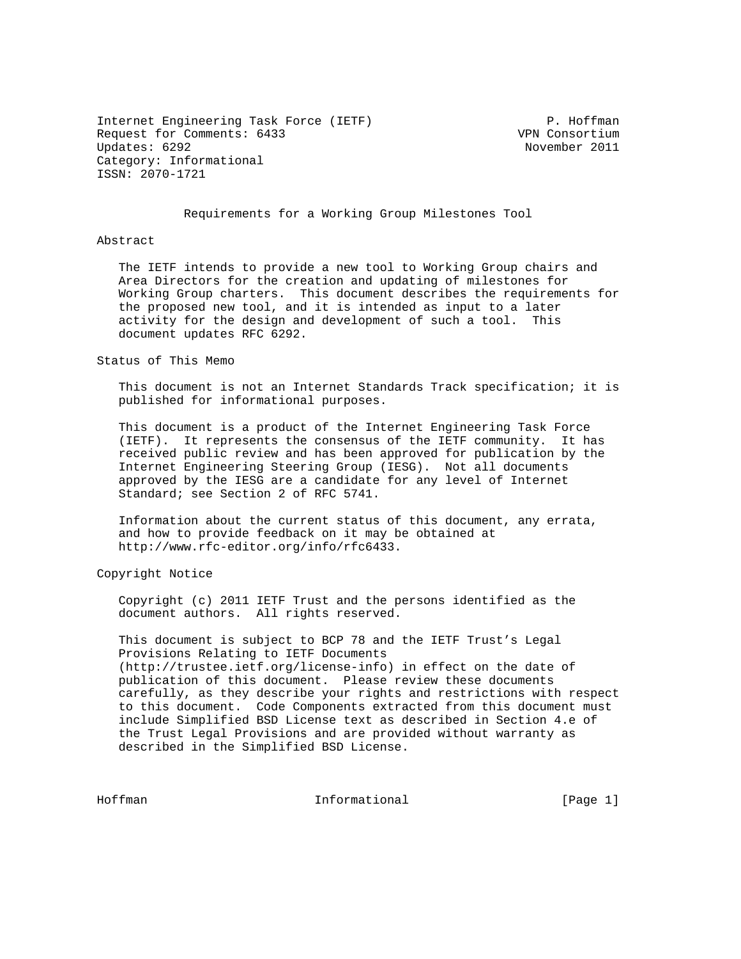Internet Engineering Task Force (IETF) P. Hoffman Request for Comments: 6433 VPN Consortium Updates: 6292 November 2011 Category: Informational ISSN: 2070-1721

## Requirements for a Working Group Milestones Tool

Abstract

 The IETF intends to provide a new tool to Working Group chairs and Area Directors for the creation and updating of milestones for Working Group charters. This document describes the requirements for the proposed new tool, and it is intended as input to a later activity for the design and development of such a tool. This document updates RFC 6292.

Status of This Memo

 This document is not an Internet Standards Track specification; it is published for informational purposes.

 This document is a product of the Internet Engineering Task Force (IETF). It represents the consensus of the IETF community. It has received public review and has been approved for publication by the Internet Engineering Steering Group (IESG). Not all documents approved by the IESG are a candidate for any level of Internet Standard; see Section 2 of RFC 5741.

 Information about the current status of this document, any errata, and how to provide feedback on it may be obtained at http://www.rfc-editor.org/info/rfc6433.

Copyright Notice

 Copyright (c) 2011 IETF Trust and the persons identified as the document authors. All rights reserved.

 This document is subject to BCP 78 and the IETF Trust's Legal Provisions Relating to IETF Documents (http://trustee.ietf.org/license-info) in effect on the date of publication of this document. Please review these documents carefully, as they describe your rights and restrictions with respect to this document. Code Components extracted from this document must include Simplified BSD License text as described in Section 4.e of the Trust Legal Provisions and are provided without warranty as described in the Simplified BSD License.

Hoffman **Informational Informational** [Page 1]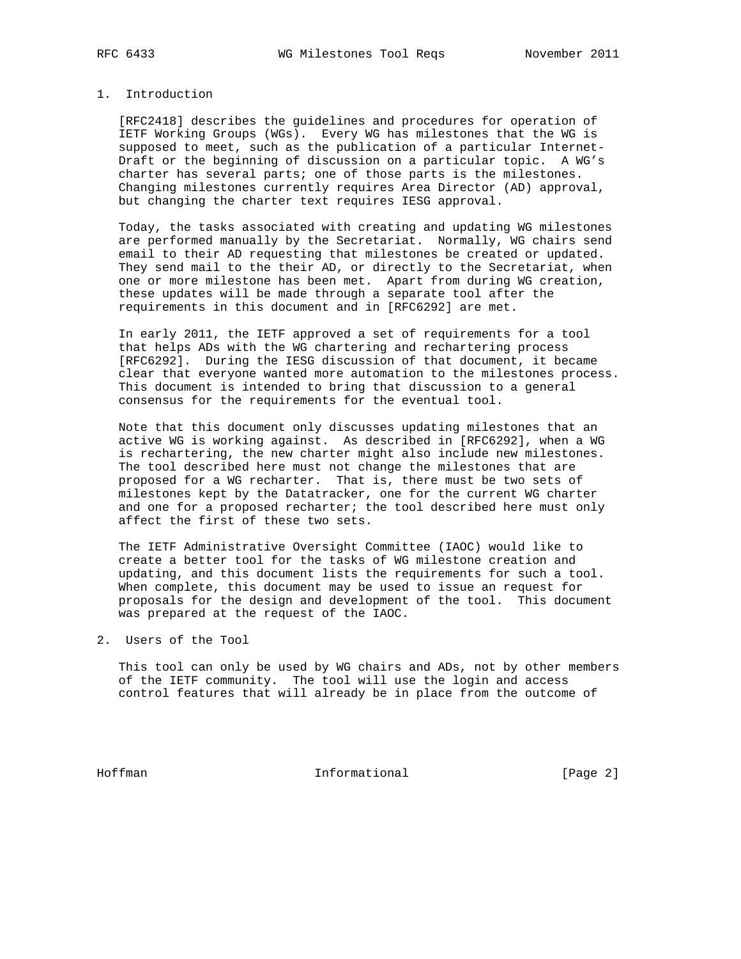## 1. Introduction

 [RFC2418] describes the guidelines and procedures for operation of IETF Working Groups (WGs). Every WG has milestones that the WG is supposed to meet, such as the publication of a particular Internet- Draft or the beginning of discussion on a particular topic. A WG's charter has several parts; one of those parts is the milestones. Changing milestones currently requires Area Director (AD) approval, but changing the charter text requires IESG approval.

 Today, the tasks associated with creating and updating WG milestones are performed manually by the Secretariat. Normally, WG chairs send email to their AD requesting that milestones be created or updated. They send mail to the their AD, or directly to the Secretariat, when one or more milestone has been met. Apart from during WG creation, these updates will be made through a separate tool after the requirements in this document and in [RFC6292] are met.

 In early 2011, the IETF approved a set of requirements for a tool that helps ADs with the WG chartering and rechartering process [RFC6292]. During the IESG discussion of that document, it became clear that everyone wanted more automation to the milestones process. This document is intended to bring that discussion to a general consensus for the requirements for the eventual tool.

 Note that this document only discusses updating milestones that an active WG is working against. As described in [RFC6292], when a WG is rechartering, the new charter might also include new milestones. The tool described here must not change the milestones that are proposed for a WG recharter. That is, there must be two sets of milestones kept by the Datatracker, one for the current WG charter and one for a proposed recharter; the tool described here must only affect the first of these two sets.

 The IETF Administrative Oversight Committee (IAOC) would like to create a better tool for the tasks of WG milestone creation and updating, and this document lists the requirements for such a tool. When complete, this document may be used to issue an request for proposals for the design and development of the tool. This document was prepared at the request of the IAOC.

2. Users of the Tool

 This tool can only be used by WG chairs and ADs, not by other members of the IETF community. The tool will use the login and access control features that will already be in place from the outcome of

Hoffman Informational [Page 2]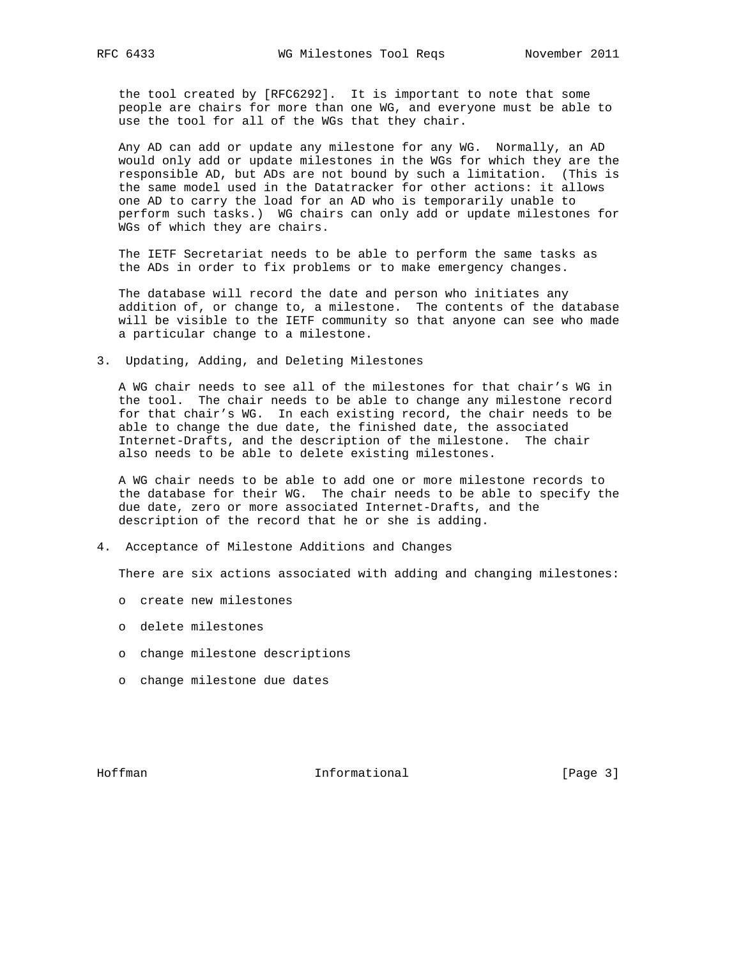the tool created by [RFC6292]. It is important to note that some people are chairs for more than one WG, and everyone must be able to use the tool for all of the WGs that they chair.

 Any AD can add or update any milestone for any WG. Normally, an AD would only add or update milestones in the WGs for which they are the responsible AD, but ADs are not bound by such a limitation. (This is the same model used in the Datatracker for other actions: it allows one AD to carry the load for an AD who is temporarily unable to perform such tasks.) WG chairs can only add or update milestones for WGs of which they are chairs.

 The IETF Secretariat needs to be able to perform the same tasks as the ADs in order to fix problems or to make emergency changes.

 The database will record the date and person who initiates any addition of, or change to, a milestone. The contents of the database will be visible to the IETF community so that anyone can see who made a particular change to a milestone.

3. Updating, Adding, and Deleting Milestones

 A WG chair needs to see all of the milestones for that chair's WG in the tool. The chair needs to be able to change any milestone record for that chair's WG. In each existing record, the chair needs to be able to change the due date, the finished date, the associated Internet-Drafts, and the description of the milestone. The chair also needs to be able to delete existing milestones.

 A WG chair needs to be able to add one or more milestone records to the database for their WG. The chair needs to be able to specify the due date, zero or more associated Internet-Drafts, and the description of the record that he or she is adding.

4. Acceptance of Milestone Additions and Changes

There are six actions associated with adding and changing milestones:

- o create new milestones
- o delete milestones
- o change milestone descriptions
- o change milestone due dates

Hoffman **Informational Informational** [Page 3]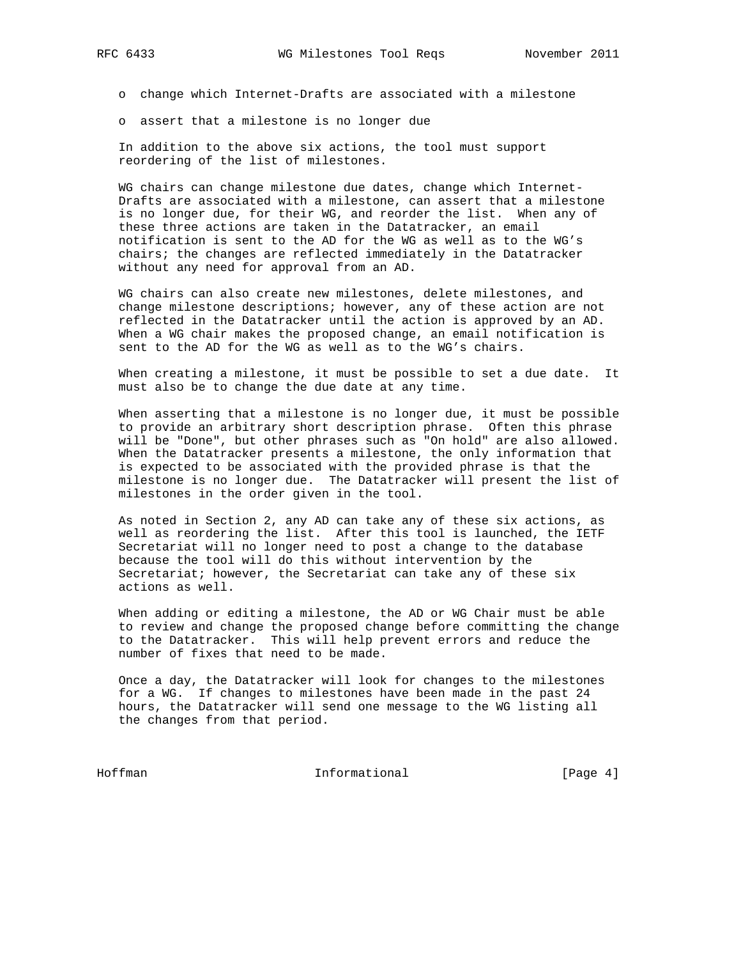o change which Internet-Drafts are associated with a milestone

o assert that a milestone is no longer due

 In addition to the above six actions, the tool must support reordering of the list of milestones.

 WG chairs can change milestone due dates, change which Internet- Drafts are associated with a milestone, can assert that a milestone is no longer due, for their WG, and reorder the list. When any of these three actions are taken in the Datatracker, an email notification is sent to the AD for the WG as well as to the WG's chairs; the changes are reflected immediately in the Datatracker without any need for approval from an AD.

 WG chairs can also create new milestones, delete milestones, and change milestone descriptions; however, any of these action are not reflected in the Datatracker until the action is approved by an AD. When a WG chair makes the proposed change, an email notification is sent to the AD for the WG as well as to the WG's chairs.

 When creating a milestone, it must be possible to set a due date. It must also be to change the due date at any time.

 When asserting that a milestone is no longer due, it must be possible to provide an arbitrary short description phrase. Often this phrase will be "Done", but other phrases such as "On hold" are also allowed. When the Datatracker presents a milestone, the only information that is expected to be associated with the provided phrase is that the milestone is no longer due. The Datatracker will present the list of milestones in the order given in the tool.

 As noted in Section 2, any AD can take any of these six actions, as well as reordering the list. After this tool is launched, the IETF Secretariat will no longer need to post a change to the database because the tool will do this without intervention by the Secretariat; however, the Secretariat can take any of these six actions as well.

 When adding or editing a milestone, the AD or WG Chair must be able to review and change the proposed change before committing the change to the Datatracker. This will help prevent errors and reduce the number of fixes that need to be made.

 Once a day, the Datatracker will look for changes to the milestones for a WG. If changes to milestones have been made in the past 24 hours, the Datatracker will send one message to the WG listing all the changes from that period.

Hoffman Informational [Page 4]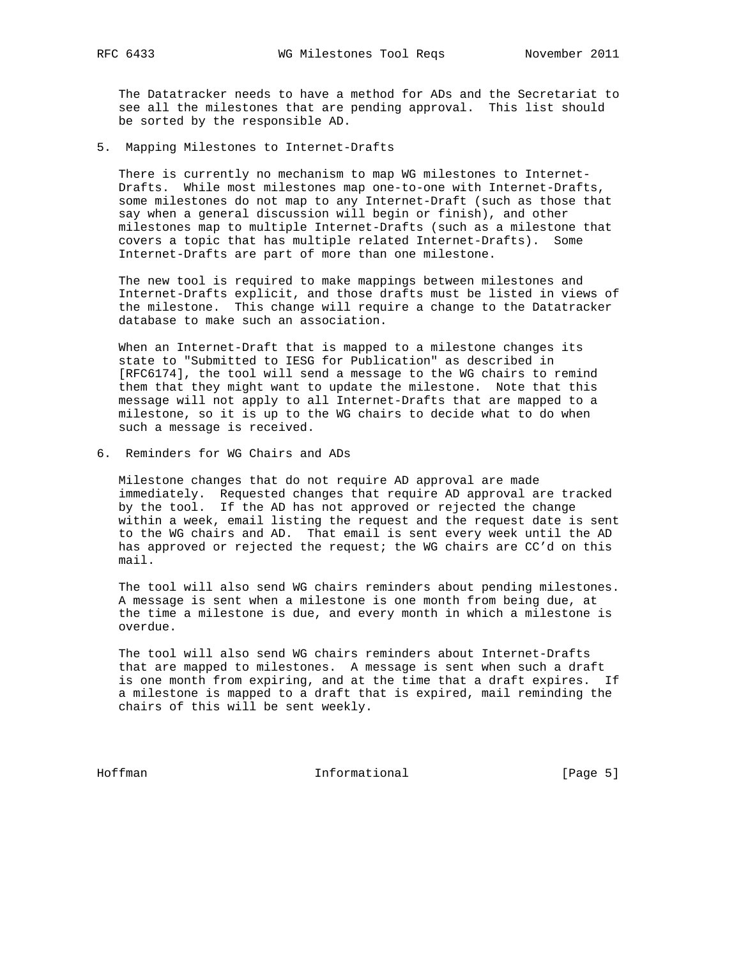The Datatracker needs to have a method for ADs and the Secretariat to see all the milestones that are pending approval. This list should be sorted by the responsible AD.

5. Mapping Milestones to Internet-Drafts

 There is currently no mechanism to map WG milestones to Internet- Drafts. While most milestones map one-to-one with Internet-Drafts, some milestones do not map to any Internet-Draft (such as those that say when a general discussion will begin or finish), and other milestones map to multiple Internet-Drafts (such as a milestone that covers a topic that has multiple related Internet-Drafts). Some Internet-Drafts are part of more than one milestone.

 The new tool is required to make mappings between milestones and Internet-Drafts explicit, and those drafts must be listed in views of the milestone. This change will require a change to the Datatracker database to make such an association.

 When an Internet-Draft that is mapped to a milestone changes its state to "Submitted to IESG for Publication" as described in [RFC6174], the tool will send a message to the WG chairs to remind them that they might want to update the milestone. Note that this message will not apply to all Internet-Drafts that are mapped to a milestone, so it is up to the WG chairs to decide what to do when such a message is received.

6. Reminders for WG Chairs and ADs

 Milestone changes that do not require AD approval are made immediately. Requested changes that require AD approval are tracked by the tool. If the AD has not approved or rejected the change within a week, email listing the request and the request date is sent to the WG chairs and AD. That email is sent every week until the AD has approved or rejected the request; the WG chairs are CC'd on this mail.

 The tool will also send WG chairs reminders about pending milestones. A message is sent when a milestone is one month from being due, at the time a milestone is due, and every month in which a milestone is overdue.

 The tool will also send WG chairs reminders about Internet-Drafts that are mapped to milestones. A message is sent when such a draft is one month from expiring, and at the time that a draft expires. If a milestone is mapped to a draft that is expired, mail reminding the chairs of this will be sent weekly.

Hoffman Informational [Page 5]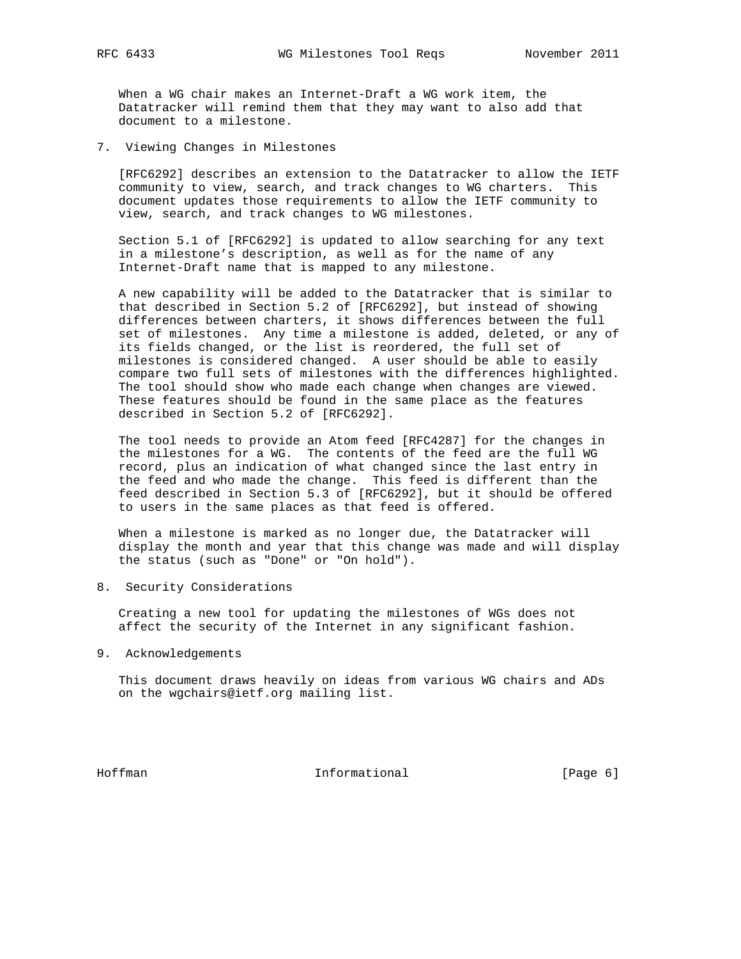When a WG chair makes an Internet-Draft a WG work item, the Datatracker will remind them that they may want to also add that document to a milestone.

7. Viewing Changes in Milestones

 [RFC6292] describes an extension to the Datatracker to allow the IETF community to view, search, and track changes to WG charters. This document updates those requirements to allow the IETF community to view, search, and track changes to WG milestones.

 Section 5.1 of [RFC6292] is updated to allow searching for any text in a milestone's description, as well as for the name of any Internet-Draft name that is mapped to any milestone.

 A new capability will be added to the Datatracker that is similar to that described in Section 5.2 of [RFC6292], but instead of showing differences between charters, it shows differences between the full set of milestones. Any time a milestone is added, deleted, or any of its fields changed, or the list is reordered, the full set of milestones is considered changed. A user should be able to easily compare two full sets of milestones with the differences highlighted. The tool should show who made each change when changes are viewed. These features should be found in the same place as the features described in Section 5.2 of [RFC6292].

 The tool needs to provide an Atom feed [RFC4287] for the changes in the milestones for a WG. The contents of the feed are the full WG record, plus an indication of what changed since the last entry in the feed and who made the change. This feed is different than the feed described in Section 5.3 of [RFC6292], but it should be offered to users in the same places as that feed is offered.

 When a milestone is marked as no longer due, the Datatracker will display the month and year that this change was made and will display the status (such as "Done" or "On hold").

8. Security Considerations

 Creating a new tool for updating the milestones of WGs does not affect the security of the Internet in any significant fashion.

9. Acknowledgements

 This document draws heavily on ideas from various WG chairs and ADs on the wgchairs@ietf.org mailing list.

Hoffman **Informational** Informational [Page 6]